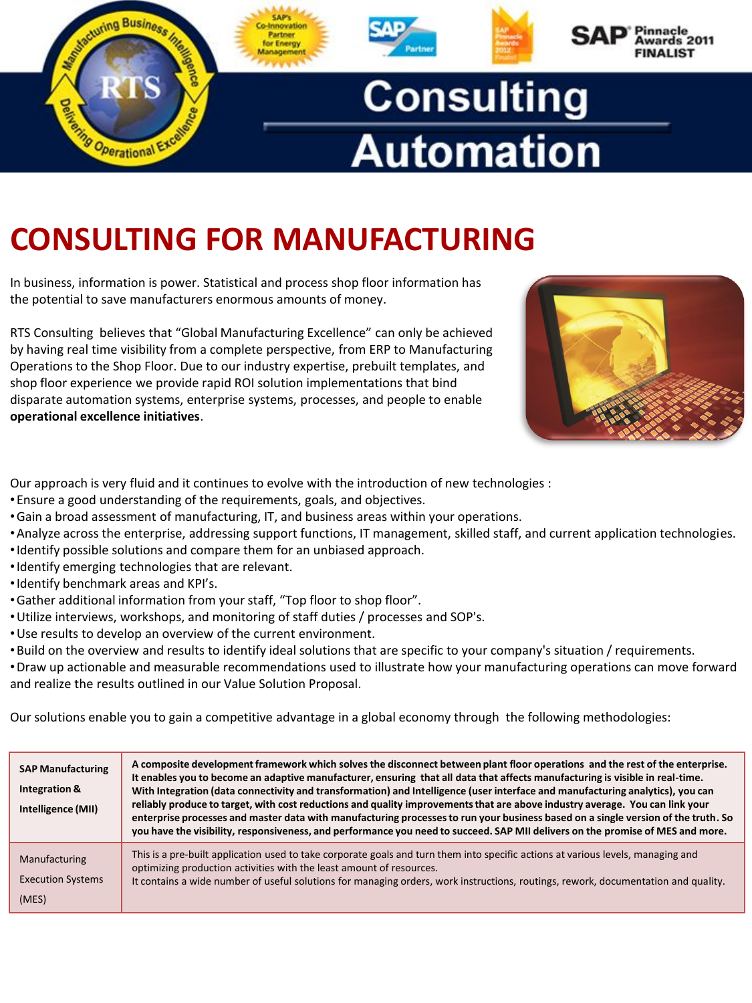

# **CONSULTING FOR MANUFACTURING**

In business, information is power. Statistical and process shop floor information has the potential to save manufacturers enormous amounts of money.

RTS Consulting believes that "Global Manufacturing Excellence" can only be achieved by having real time visibility from a complete perspective, from ERP to Manufacturing Operations to the Shop Floor. Due to our industry expertise, prebuilt templates, and shop floor experience we provide rapid ROI solution implementations that bind disparate automation systems, enterprise systems, processes, and people to enable **operational excellence initiatives**.

Our approach is very fluid and it continues to evolve with the introduction of new technologies :

- •Ensure a good understanding of the requirements, goals, and objectives.
- •Gain a broad assessment of manufacturing, IT, and business areas within your operations.
- •Analyze across the enterprise, addressing support functions, IT management, skilled staff, and current application technologies.
- •Identify possible solutions and compare them for an unbiased approach.
- •Identify emerging technologies that are relevant.
- •Identify benchmark areas and KPI's.
- •Gather additional information from your staff, "Top floor to shop floor".
- •Utilize interviews, workshops, and monitoring of staff duties / processes and SOP's.
- •Use results to develop an overview of the current environment.
- •Build on the overview and results to identify ideal solutions that are specific to your company's situation / requirements.

•Draw up actionable and measurable recommendations used to illustrate how your manufacturing operations can move forward and realize the results outlined in our Value Solution Proposal.

Our solutions enable you to gain a competitive advantage in a global economy through the following methodologies:

| <b>SAP Manufacturing</b><br>Integration &<br>Intelligence (MII) | A composite development framework which solves the disconnect between plant floor operations and the rest of the enterprise.<br>It enables you to become an adaptive manufacturer, ensuring that all data that affects manufacturing is visible in real-time.<br>With Integration (data connectivity and transformation) and Intelligence (user interface and manufacturing analytics), you can<br>reliably produce to target, with cost reductions and quality improvements that are above industry average. You can link your<br>enterprise processes and master data with manufacturing processes to run your business based on a single version of the truth. So<br>you have the visibility, responsiveness, and performance you need to succeed. SAP MII delivers on the promise of MES and more. |
|-----------------------------------------------------------------|--------------------------------------------------------------------------------------------------------------------------------------------------------------------------------------------------------------------------------------------------------------------------------------------------------------------------------------------------------------------------------------------------------------------------------------------------------------------------------------------------------------------------------------------------------------------------------------------------------------------------------------------------------------------------------------------------------------------------------------------------------------------------------------------------------|
| Manufacturing<br><b>Execution Systems</b>                       | This is a pre-built application used to take corporate goals and turn them into specific actions at various levels, managing and<br>optimizing production activities with the least amount of resources.<br>It contains a wide number of useful solutions for managing orders, work instructions, routings, rework, documentation and quality.                                                                                                                                                                                                                                                                                                                                                                                                                                                         |
| (MES)                                                           |                                                                                                                                                                                                                                                                                                                                                                                                                                                                                                                                                                                                                                                                                                                                                                                                        |